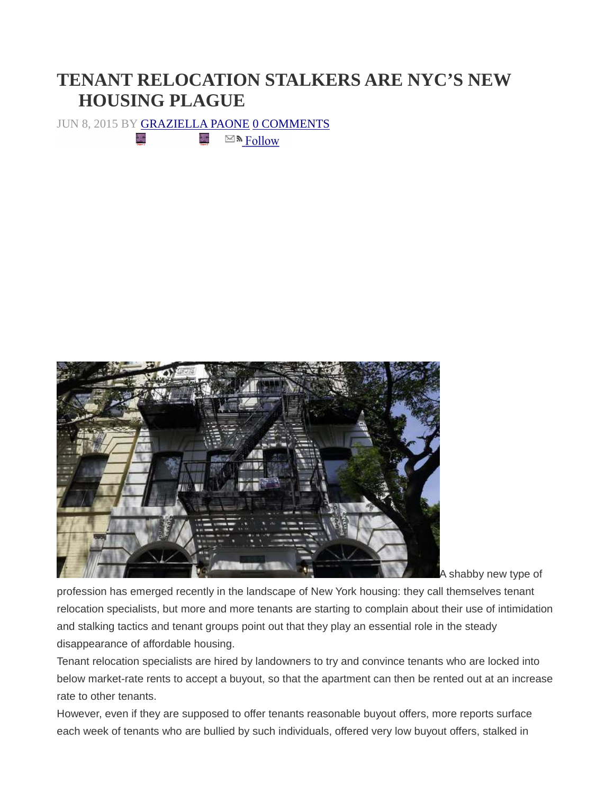## **TENANT RELOCATION STALKERS ARE NYC'S NEW HOUSING PLAGUE**

JUN 8, 2015 BY GRAZIELLA PAONE 0 COMMENTS

 $\sum_{i=1}^{n}$ 

 $\mathcal{S}_\mathcal{C}$  $\boxtimes$  M Follow



A shabby new type of

profession has emerged recently in the landscape of New York housing: they call themselves tenant relocation specialists, but more and more tenants are starting to complain about their use of intimidation and stalking tactics and tenant groups point out that they play an essential role in the steady disappearance of affordable housing.

Tenant relocation specialists are hired by landowners to try and convince tenants who are locked into below market-rate rents to accept a buyout, so that the apartment can then be rented out at an increase rate to other tenants.

However, even if they are supposed to offer tenants reasonable buyout offers, more reports surface each week of tenants who are bullied by such individuals, offered very low buyout offers, stalked in